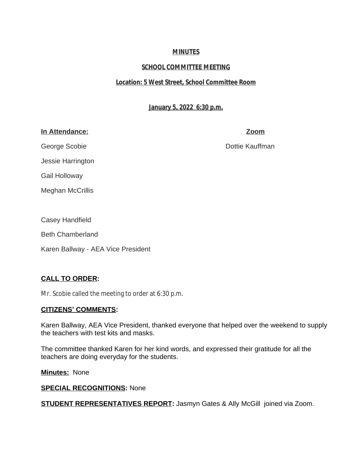# **MINUTES**

# **SCHOOL COMMITTEE MEETING**

# **Location: 5 West Street, School Committee Room**

**January 5, 2022 6:30 p.m.**

# **In Attendance: Zoom**

George Scobie **Dottie Kauffman** 

Gail Holloway

Jessie Harrington

Meghan McCrillis

Casey Handfield

Beth Chamberland

Karen Ballway - AEA Vice President

# **CALL TO ORDER:**

Mr. Scobie called the meeting to order at 6:30 p.m.

# **CITIZENS' COMMENTS:**

Karen Ballway, AEA Vice President, thanked everyone that helped over the weekend to supply the teachers with test kits and masks.

The committee thanked Karen for her kind words, and expressed their gratitude for all the teachers are doing everyday for the students.

**Minutes:** None

# **SPECIAL RECOGNITIONS:** None

**STUDENT REPRESENTATIVES REPORT:** Jasmyn Gates & Ally McGill joined via Zoom.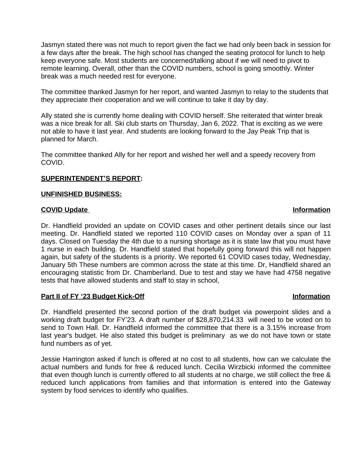Jasmyn stated there was not much to report given the fact we had only been back in session for a few days after the break. The high school has changed the seating protocol for lunch to help keep everyone safe. Most students are concerned/talking about if we will need to pivot to remote learning. Overall, other than the COVID numbers, school is going smoothly. Winter break was a much needed rest for everyone.

The committee thanked Jasmyn for her report, and wanted Jasmyn to relay to the students that they appreciate their cooperation and we will continue to take it day by day.

Ally stated she is currently home dealing with COVID herself. She reiterated that winter break was a nice break for all. Ski club starts on Thursday, Jan 6, 2022. That is exciting as we were not able to have it last year. And students are looking forward to the Jay Peak Trip that is planned for March.

The committee thanked Ally for her report and wished her well and a speedy recovery from COVID.

### **SUPERINTENDENT'S REPORT:**

#### **UNFINISHED BUSINESS:**

#### **COVID Update** Information

#### Dr. Handfield provided an update on COVID cases and other pertinent details since our last meeting. Dr. Handfield stated we reported 110 COVID cases on Monday over a span of 11 days. Closed on Tuesday the 4th due to a nursing shortage as it is state law that you must have 1 nurse in each building. Dr. Handfield stated that hopefully going forward this will not happen again, but safety of the students is a priority. We reported 61 COVID cases today, Wednesday, January 5th These numbers are common across the state at this time. Dr, Handfield shared an encouraging statistic from Dr. Chamberland. Due to test and stay we have had 4758 negative tests that have allowed students and staff to stay in school,

#### **Part II of FY '23 Budget Kick-Off Information**

#### Dr. Handfield presented the second portion of the draft budget via powerpoint slides and a working draft budget for FY'23. A draft number of \$28,870,214.33 will need to be voted on to send to Town Hall. Dr. Handfield informed the committee that there is a 3.15% increase from last year's budget. He also stated this budget is preliminary as we do not have town or state fund numbers as of yet.

Jessie Harrington asked if lunch is offered at no cost to all students, how can we calculate the actual numbers and funds for free & reduced lunch. Cecilia Wirzbicki informed the committee that even though lunch is currently offered to all students at no charge, we still collect the free & reduced lunch applications from families and that information is entered into the Gateway system by food services to identify who qualifies.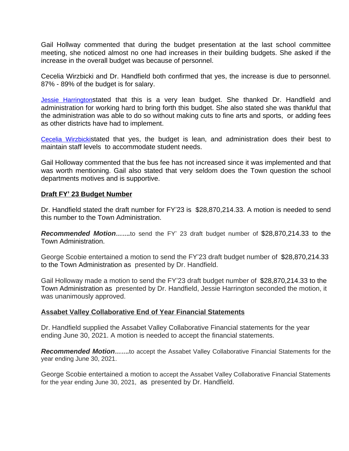Gail Hollway commented that during the budget presentation at the last school committee meeting, she noticed almost no one had increases in their building budgets. She asked if the increase in the overall budget was because of personnel.

Cecelia Wirzbicki and Dr. Handfield both confirmed that yes, the increase is due to personnel. 87% - 89% of the budget is for salary.

[Jessie Harrington](mailto:jharrington4940@hotmail.com)stated that this is a very lean budget. She thanked Dr. Handfield and administration for working hard to bring forth this budget. She also stated she was thankful that the administration was able to do so without making cuts to fine arts and sports, or adding fees as other districts have had to implement.

[Cecelia Wirzbicki](mailto:cwirzbicki@auburn.k12.ma.us)stated that yes, the budget is lean, and administration does their best to maintain staff levels to accommodate student needs.

Gail Holloway commented that the bus fee has not increased since it was implemented and that was worth mentioning. Gail also stated that very seldom does the Town question the school departments motives and is supportive.

### **Draft FY' 23 Budget Number**

Dr. Handfield stated the draft number for FY'23 is \$28,870,214.33. A motion is needed to send this number to the Town Administration.

*Recommended Motion…….*to send the FY' 23 draft budget number of \$28,870,214.33 to the Town Administration.

George Scobie entertained a motion to send the FY'23 draft budget number of \$28,870,214.33 to the Town Administration as presented by Dr. Handfield.

Gail Holloway made a motion to send the FY'23 draft budget number of \$28,870,214.33 to the Town Administration as presented by Dr. Handfield, Jessie Harrington seconded the motion, it was unanimously approved.

### **Assabet Valley Collaborative End of Year Financial Statements**

Dr. Handfield supplied the Assabet Valley Collaborative Financial statements for the year ending June 30, 2021. A motion is needed to accept the financial statements.

*Recommended Motion…….*to accept the Assabet Valley Collaborative Financial Statements for the year ending June 30, 2021.

George Scobie entertained a motion to accept the Assabet Valley Collaborative Financial Statements for the year ending June 30, 2021, as presented by Dr. Handfield.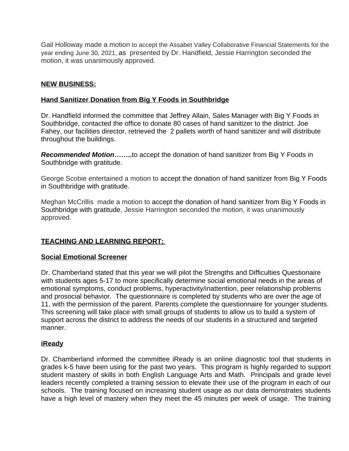Gail Holloway made a motion to accept the Assabet Valley Collaborative Financial Statements for the year ending June 30, 2021, as presented by Dr. Handfield, Jessie Harrington seconded the motion, it was unanimously approved.

## **NEW BUSINESS:**

## **Hand Sanitizer Donation from Big Y Foods in Southbridge**

Dr. Handfield informed the committee that Jeffrey Allain, Sales Manager with Big Y Foods in Southbridge, contacted the office to donate 80 cases of hand sanitizer to the district. Joe Fahey, our facilities director, retrieved the 2 pallets worth of hand sanitizer and will distribute throughout the buildings.

*Recommended Motion***……..**to accept the donation of hand sanitizer from Big Y Foods in Southbridge with gratitude.

George Scobie entertained a motion to accept the donation of hand sanitizer from Big Y Foods in Southbridge with gratitude.

Meghan McCrillis made a motion to accept the donation of hand sanitizer from Big Y Foods in Southbridge with gratitude, Jessie Harrington seconded the motion, it was unanimously approved.

# **TEACHING AND LEARNING REPORT:**

### **Social Emotional Screener**

Dr. Chamberland stated that this year we will pilot the Strengths and Difficulties Questionaire with students ages 5-17 to more specifically determine social emotional needs in the areas of emotional symptoms, conduct problems, hyperactivity/inattention, peer relationship problems and prosocial behavior. The questionnaire is completed by students who are over the age of 11, with the permission of the parent. Parents complete the questionnaire for younger students. This screening will take place with small groups of students to allow us to build a system of support across the district to address the needs of our students in a structured and targeted manner.

### **iReady**

Dr. Chamberland informed the committee iReady is an online diagnostic tool that students in grades k-5 have been using for the past two years. This program is highly regarded to support student mastery of skills in both English Language Arts and Math. Principals and grade level leaders recently completed a training session to elevate their use of the program in each of our schools. The training focused on increasing student usage as our data demonstrates students have a high level of mastery when they meet the 45 minutes per week of usage. The training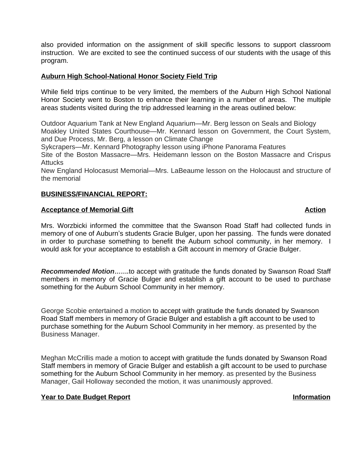also provided information on the assignment of skill specific lessons to support classroom instruction. We are excited to see the continued success of our students with the usage of this program.

### **Auburn High School-National Honor Society Field Trip**

While field trips continue to be very limited, the members of the Auburn High School National Honor Society went to Boston to enhance their learning in a number of areas. The multiple areas students visited during the trip addressed learning in the areas outlined below:

Outdoor Aquarium Tank at New England Aquarium—Mr. Berg lesson on Seals and Biology Moakley United States Courthouse—Mr. Kennard lesson on Government, the Court System, and Due Process, Mr. Berg, a lesson on Climate Change

Sykcrapers—Mr. Kennard Photography lesson using iPhone Panorama Features

Site of the Boston Massacre—Mrs. Heidemann lesson on the Boston Massacre and Crispus **Attucks** 

New England Holocasust Memorial—Mrs. LaBeaume lesson on the Holocaust and structure of the memorial

## **BUSINESS/FINANCIAL REPORT:**

### **Acceptance of Memorial Gift Action**

Mrs. Worzbicki informed the committee that the Swanson Road Staff had collected funds in memory of one of Auburn's students Gracie Bulger, upon her passing. The funds were donated in order to purchase something to benefit the Auburn school community, in her memory. I would ask for your acceptance to establish a Gift account in memory of Gracie Bulger.

*Recommended Motion…….*to accept with gratitude the funds donated by Swanson Road Staff members in memory of Gracie Bulger and establish a gift account to be used to purchase something for the Auburn School Community in her memory.

George Scobie entertained a motion to accept with gratitude the funds donated by Swanson Road Staff members in memory of Gracie Bulger and establish a gift account to be used to purchase something for the Auburn School Community in her memory. as presented by the Business Manager.

Meghan McCrillis made a motion to accept with gratitude the funds donated by Swanson Road Staff members in memory of Gracie Bulger and establish a gift account to be used to purchase something for the Auburn School Community in her memory. as presented by the Business Manager, Gail Holloway seconded the motion, it was unanimously approved.

### **Year to Date Budget Report Information**